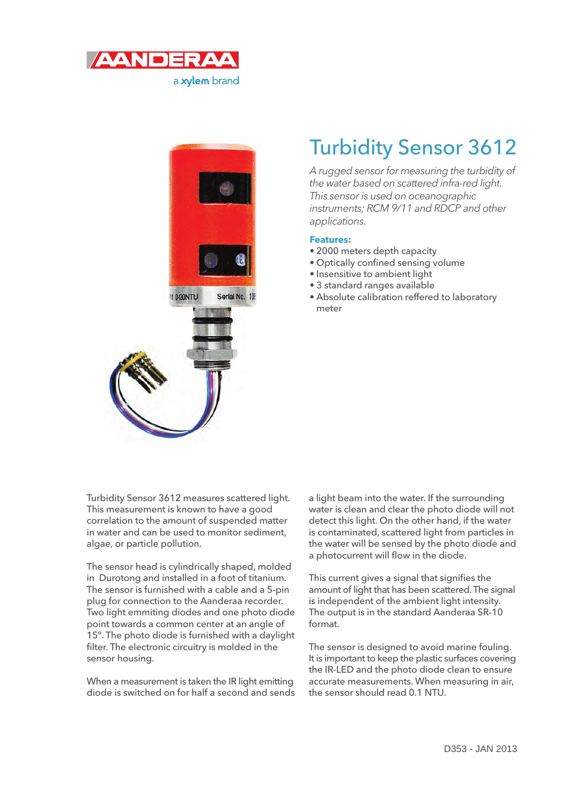



## Turbidity Sensor 3612

A rugged sensor for measuring the turbidity of the water based on scattered infra-red light. This sensor is used on oceanographic instruments; RCM 9/11 and RDCP and other applications.

## **Features:**

- 2000 meters depth capacity
- Optically confined sensing volume
- Insensitive to ambient light
- 3 standard ranges available
- Absolute calibration reffered to laboratory meter

Turbidity Sensor 3612 measures scattered light. This measurement is known to have a good correlation to the amount of suspended matter in water and can be used to monitor sediment, algae, or particle pollution.

The sensor head is cylindrically shaped, molded in Durotong and installed in a foot of titanium. The sensor is furnished with a cable and a 5-pin plug for connection to the Aanderaa recorder. Two light emmiting diodes and one photo diode point towards a common center at an angle of 15°. The photo diode is furnished with a daylight filter. The electronic circuitry is molded in the sensor housing.

When a measurement is taken the IR light emitting diode is switched on for half a second and sends a light beam into the water. If the surrounding water is clean and clear the photo diode will not detect this light. On the other hand, if the water is contaminated, scattered light from particles in the water will be sensed by the photo diode and a photocurrent will flow in the diode.

This current gives a signal that signifies the amount of light that has been scattered. The signal is independent of the ambient light intensity. The output is in the standard Aanderaa SR-10 format.

The sensor is designed to avoid marine fouling. It is important to keep the plastic surfaces covering the IR-LED and the photo diode clean to ensure accurate measurements. When measuring in air, the sensor should read 0.1 NTU.